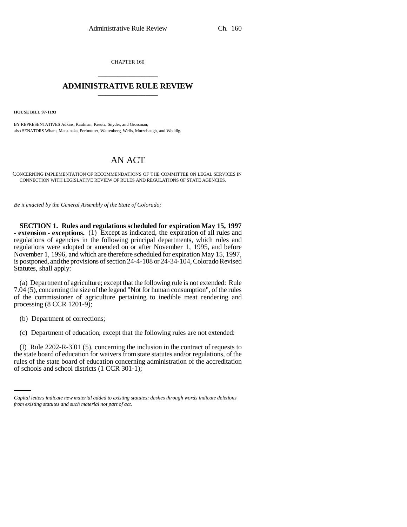CHAPTER 160 \_\_\_\_\_\_\_\_\_\_\_\_\_\_\_

## **ADMINISTRATIVE RULE REVIEW** \_\_\_\_\_\_\_\_\_\_\_\_\_\_\_

**HOUSE BILL 97-1193**

BY REPRESENTATIVES Adkins, Kaufman, Kreutz, Snyder, and Grossman; also SENATORS Wham, Matsunaka, Perlmutter, Wattenberg, Wells, Mutzebaugh, and Weddig.

## AN ACT

CONCERNING IMPLEMENTATION OF RECOMMENDATIONS OF THE COMMITTEE ON LEGAL SERVICES IN CONNECTION WITH LEGISLATIVE REVIEW OF RULES AND REGULATIONS OF STATE AGENCIES.

*Be it enacted by the General Assembly of the State of Colorado:*

**SECTION 1. Rules and regulations scheduled for expiration May 15, 1997 - extension - exceptions.** (1) Except as indicated, the expiration of all rules and regulations of agencies in the following principal departments, which rules and regulations were adopted or amended on or after November 1, 1995, and before November 1, 1996, and which are therefore scheduled for expiration May 15, 1997, is postponed, and the provisions of section 24-4-108 or 24-34-104, Colorado Revised Statutes, shall apply:

(a) Department of agriculture; except that the following rule is not extended: Rule 7.04 (5), concerning the size of the legend "Not for human consumption", of the rules of the commissioner of agriculture pertaining to inedible meat rendering and processing (8 CCR 1201-9);

(b) Department of corrections;

(c) Department of education; except that the following rules are not extended:

the state board of education for waivers from state statutes and/or regulations, of the (I) Rule 2202-R-3.01 (5), concerning the inclusion in the contract of requests to rules of the state board of education concerning administration of the accreditation of schools and school districts (1 CCR 301-1);

*Capital letters indicate new material added to existing statutes; dashes through words indicate deletions from existing statutes and such material not part of act.*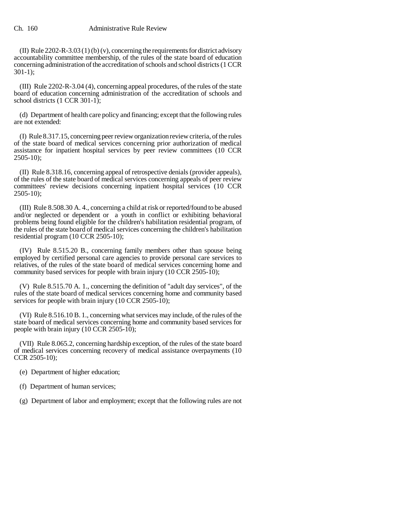## Ch. 160 Administrative Rule Review

(II) Rule 2202-R-3.03 (1) (b) (v), concerning the requirements for district advisory accountability committee membership, of the rules of the state board of education concerning administration of the accreditation of schools and school districts (1 CCR 301-1);

(III) Rule 2202-R-3.04 (4), concerning appeal procedures, of the rules of the state board of education concerning administration of the accreditation of schools and school districts (1 CCR 301-1);

(d) Department of health care policy and financing; except that the following rules are not extended:

(I) Rule 8.317.15, concerning peer review organization review criteria, of the rules of the state board of medical services concerning prior authorization of medical assistance for inpatient hospital services by peer review committees (10 CCR  $2505-10$ ;

(II) Rule 8.318.16, concerning appeal of retrospective denials (provider appeals), of the rules of the state board of medical services concerning appeals of peer review committees' review decisions concerning inpatient hospital services (10 CCR  $2505-10$ :

(III) Rule 8.508.30 A. 4., concerning a child at risk or reported/found to be abused and/or neglected or dependent or a youth in conflict or exhibiting behavioral problems being found eligible for the children's habilitation residential program, of the rules of the state board of medical services concerning the children's habilitation residential program (10 CCR 2505-10);

(IV) Rule 8.515.20 B., concerning family members other than spouse being employed by certified personal care agencies to provide personal care services to relatives, of the rules of the state board of medical services concerning home and community based services for people with brain injury (10 CCR 2505-10);

(V) Rule 8.515.70 A. 1., concerning the definition of "adult day services", of the rules of the state board of medical services concerning home and community based services for people with brain injury (10 CCR 2505-10);

(VI) Rule 8.516.10 B. 1., concerning what services may include, of the rules of the state board of medical services concerning home and community based services for people with brain injury (10 CCR 2505-10);

(VII) Rule 8.065.2, concerning hardship exception, of the rules of the state board of medical services concerning recovery of medical assistance overpayments (10 CCR 2505-10);

(e) Department of higher education;

- (f) Department of human services;
- (g) Department of labor and employment; except that the following rules are not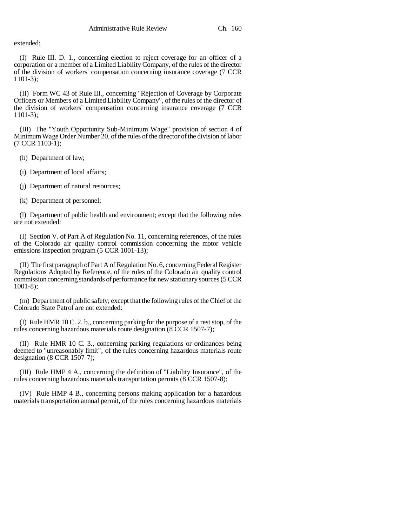extended:

(I) Rule III. D. 1., concerning election to reject coverage for an officer of a corporation or a member of a Limited Liability Company, of the rules of the director of the division of workers' compensation concerning insurance coverage (7 CCR 1101-3);

(II) Form WC 43 of Rule III., concerning "Rejection of Coverage by Corporate Officers or Members of a Limited Liability Company", of the rules of the director of the division of workers' compensation concerning insurance coverage (7 CCR 1101-3);

(III) The "Youth Opportunity Sub-Minimum Wage" provision of section 4 of Minimum Wage Order Number 20, of the rules of the director of the division of labor (7 CCR 1103-1);

(h) Department of law;

(i) Department of local affairs;

(j) Department of natural resources;

(k) Department of personnel;

(l) Department of public health and environment; except that the following rules are not extended:

(I) Section V. of Part A of Regulation No. 11, concerning references, of the rules of the Colorado air quality control commission concerning the motor vehicle emissions inspection program (5 CCR 1001-13);

(II) The first paragraph of Part A of Regulation No. 6, concerning Federal Register Regulations Adopted by Reference, of the rules of the Colorado air quality control commission concerning standards of performance for new stationary sources (5 CCR 1001-8);

(m) Department of public safety; except that the following rules of the Chief of the Colorado State Patrol are not extended:

(I) Rule HMR 10 C. 2. b., concerning parking for the purpose of a rest stop, of the rules concerning hazardous materials route designation (8 CCR 1507-7);

(II) Rule HMR 10 C. 3., concerning parking regulations or ordinances being deemed to "unreasonably limit", of the rules concerning hazardous materials route designation (8 CCR 1507-7);

(III) Rule HMP 4 A., concerning the definition of "Liability Insurance", of the rules concerning hazardous materials transportation permits (8 CCR 1507-8);

(IV) Rule HMP 4 B., concerning persons making application for a hazardous materials transportation annual permit, of the rules concerning hazardous materials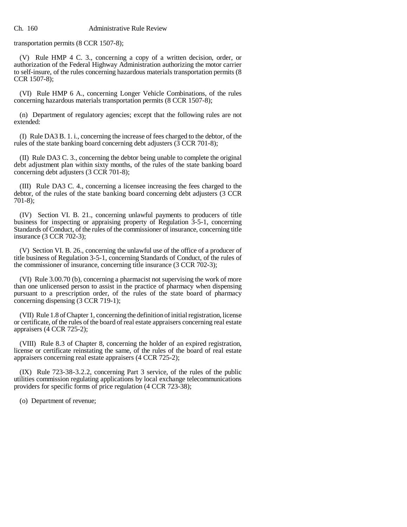transportation permits (8 CCR 1507-8);

(V) Rule HMP 4 C. 3., concerning a copy of a written decision, order, or authorization of the Federal Highway Administration authorizing the motor carrier to self-insure, of the rules concerning hazardous materials transportation permits (8 CCR 1507-8);

(VI) Rule HMP 6 A., concerning Longer Vehicle Combinations, of the rules concerning hazardous materials transportation permits (8 CCR 1507-8);

(n) Department of regulatory agencies; except that the following rules are not extended:

(I) Rule DA3 B. 1. i., concerning the increase of fees charged to the debtor, of the rules of the state banking board concerning debt adjusters  $(3 CCR 701-8)$ ;

(II) Rule DA3 C. 3., concerning the debtor being unable to complete the original debt adjustment plan within sixty months, of the rules of the state banking board concerning debt adjusters (3 CCR 701-8);

(III) Rule DA3 C. 4., concerning a licensee increasing the fees charged to the debtor, of the rules of the state banking board concerning debt adjusters (3 CCR 701-8);

(IV) Section VI. B. 21., concerning unlawful payments to producers of title business for inspecting or appraising property of Regulation 3-5-1, concerning Standards of Conduct, of the rules of the commissioner of insurance, concerning title insurance (3 CCR 702-3);

(V) Section VI. B. 26., concerning the unlawful use of the office of a producer of title business of Regulation 3-5-1, concerning Standards of Conduct, of the rules of the commissioner of insurance, concerning title insurance (3 CCR 702-3);

(VI) Rule 3.00.70 (b), concerning a pharmacist not supervising the work of more than one unlicensed person to assist in the practice of pharmacy when dispensing pursuant to a prescription order, of the rules of the state board of pharmacy concerning dispensing (3 CCR 719-1);

(VII) Rule 1.8 of Chapter 1, concerning the definition of initial registration, license or certificate, of the rules of the board of real estate appraisers concerning real estate appraisers (4 CCR 725-2);

(VIII) Rule 8.3 of Chapter 8, concerning the holder of an expired registration, license or certificate reinstating the same, of the rules of the board of real estate appraisers concerning real estate appraisers (4 CCR 725-2);

(IX) Rule 723-38-3.2.2, concerning Part 3 service, of the rules of the public utilities commission regulating applications by local exchange telecommunications providers for specific forms of price regulation (4 CCR 723-38);

(o) Department of revenue;